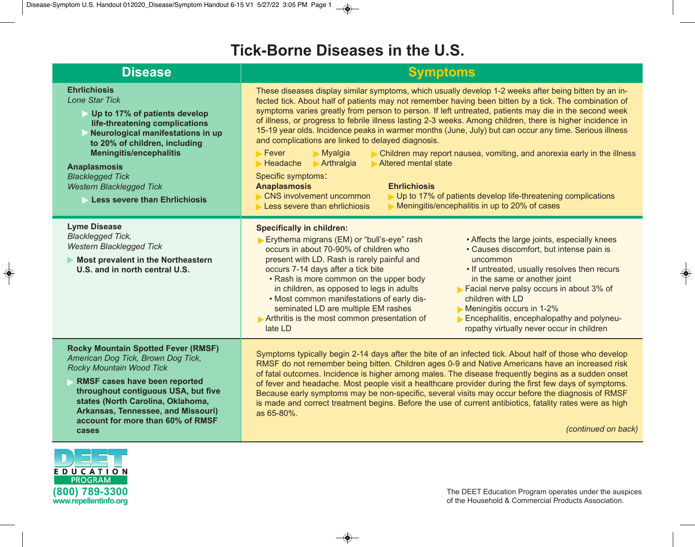## **Tick-Borne Diseases in the U.S.**

| <b>Disease</b>                                                                                                                                                                                                                                                                                                                                       | <b>Symptoms</b>                                                                                                                                                                                                                                                                                                                                                                                                                                                                                                                                                                                                                                                                                                                                                                                                                                                                                                                                                                                                                                               |
|------------------------------------------------------------------------------------------------------------------------------------------------------------------------------------------------------------------------------------------------------------------------------------------------------------------------------------------------------|---------------------------------------------------------------------------------------------------------------------------------------------------------------------------------------------------------------------------------------------------------------------------------------------------------------------------------------------------------------------------------------------------------------------------------------------------------------------------------------------------------------------------------------------------------------------------------------------------------------------------------------------------------------------------------------------------------------------------------------------------------------------------------------------------------------------------------------------------------------------------------------------------------------------------------------------------------------------------------------------------------------------------------------------------------------|
| <b>Ehrlichiosis</b><br><b>Lone Star Tick</b><br>Up to 17% of patients develop<br>life-threatening complications<br>Neurological manifestations in up<br>to 20% of children, including<br><b>Meningitis/encephalitis</b><br><b>Anaplasmosis</b><br><b>Blacklegged Tick</b><br><b>Western Blacklegged Tick</b><br><b>Less severe than Ehrlichiosis</b> | These diseases display similar symptoms, which usually develop 1-2 weeks after being bitten by an in-<br>fected tick. About half of patients may not remember having been bitten by a tick. The combination of<br>symptoms varies greatly from person to person. If left untreated, patients may die in the second week<br>of illness, or progress to febrile illness lasting 2-3 weeks. Among children, there is higher incidence in<br>15-19 year olds. Incidence peaks in warmer months (June, July) but can occur any time. Serious illness<br>and complications are linked to delayed diagnosis.<br>Myalgia<br>$\blacktriangleright$ Fever<br>Children may report nausea, vomiting, and anorexia early in the illness<br>$\blacktriangleright$ Arthralgia<br>Headache<br>Altered mental state<br>Specific symptoms:<br><b>Anaplasmosis</b><br><b>Ehrlichiosis</b><br><b>CNS involvement uncommon</b><br>▶ Up to 17% of patients develop life-threatening complications<br>Meningitis/encephalitis in up to 20% of cases<br>Less severe than ehrlichiosis |
| <b>Lyme Disease</b><br><b>Blacklegged Tick,</b><br><b>Western Blacklegged Tick</b><br>Most prevalent in the Northeastern<br>U.S. and in north central U.S.                                                                                                                                                                                           | <b>Specifically in children:</b><br>Erythema migrans (EM) or "bull's-eye" rash<br>• Affects the large joints, especially knees<br>occurs in about 70-90% of children who<br>• Causes discomfort, but intense pain is<br>present with LD. Rash is rarely painful and<br>uncommon<br>• If untreated, usually resolves then recurs<br>occurs 7-14 days after a tick bite<br>• Rash is more common on the upper body<br>in the same or another joint<br>in children, as opposed to legs in adults<br>Facial nerve palsy occurs in about 3% of<br>. Most common manifestations of early dis-<br>children with LD<br>seminated LD are multiple EM rashes<br>Meningitis occurs in 1-2%<br>Arthritis is the most common presentation of<br>Encephalitis, encephalopathy and polyneu-<br>late LD<br>ropathy virtually never occur in children                                                                                                                                                                                                                          |
| <b>Rocky Mountain Spotted Fever (RMSF)</b><br>American Dog Tick, Brown Dog Tick,<br>Rocky Mountain Wood Tick<br>RMSF cases have been reported<br>throughout contiguous USA, but five<br>states (North Carolina, Oklahoma,<br>Arkansas, Tennessee, and Missouri)<br>account for more than 60% of RMSF<br>cases                                        | Symptoms typically begin 2-14 days after the bite of an infected tick. About half of those who develop<br>RMSF do not remember being bitten. Children ages 0-9 and Native Americans have an increased risk<br>of fatal outcomes. Incidence is higher among males. The disease frequently begins as a sudden onset<br>of fever and headache. Most people visit a healthcare provider during the first few days of symptoms.<br>Because early symptoms may be non-specific, several visits may occur before the diagnosis of RMSF<br>is made and correct treatment begins. Before the use of current antibiotics, fatality rates were as high<br>as 65-80%.<br>(continued on back)                                                                                                                                                                                                                                                                                                                                                                              |